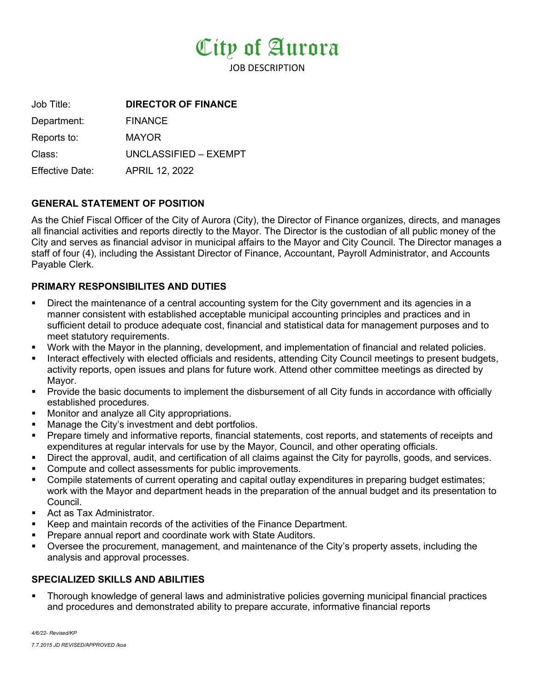

JOB DESCRIPTION

Job Title: **DIRECTOR OF FINANCE** Department: FINANCE Reports to: MAYOR Class: UNCLASSIFIED – EXEMPT Effective Date: APRIL 12, 2022

## **GENERAL STATEMENT OF POSITION**

As the Chief Fiscal Officer of the City of Aurora (City), the Director of Finance organizes, directs, and manages all financial activities and reports directly to the Mayor. The Director is the custodian of all public money of the City and serves as financial advisor in municipal affairs to the Mayor and City Council. The Director manages a staff of four (4), including the Assistant Director of Finance, Accountant, Payroll Administrator, and Accounts Payable Clerk.

### **PRIMARY RESPONSIBILITES AND DUTIES**

- Direct the maintenance of a central accounting system for the City government and its agencies in a manner consistent with established acceptable municipal accounting principles and practices and in sufficient detail to produce adequate cost, financial and statistical data for management purposes and to meet statutory requirements.
- Work with the Mayor in the planning, development, and implementation of financial and related policies.
- Interact effectively with elected officials and residents, attending City Council meetings to present budgets, activity reports, open issues and plans for future work. Attend other committee meetings as directed by Mayor.
- Provide the basic documents to implement the disbursement of all City funds in accordance with officially established procedures.
- Monitor and analyze all City appropriations.
- Manage the City's investment and debt portfolios.
- Prepare timely and informative reports, financial statements, cost reports, and statements of receipts and expenditures at regular intervals for use by the Mayor, Council, and other operating officials.
- Direct the approval, audit, and certification of all claims against the City for payrolls, goods, and services.
- Compute and collect assessments for public improvements.
- Compile statements of current operating and capital outlay expenditures in preparing budget estimates; work with the Mayor and department heads in the preparation of the annual budget and its presentation to Council.
- **Act as Tax Administrator.**
- Keep and maintain records of the activities of the Finance Department.
- Prepare annual report and coordinate work with State Auditors.
- Oversee the procurement, management, and maintenance of the City's property assets, including the analysis and approval processes.

## **SPECIALIZED SKILLS AND ABILITIES**

 Thorough knowledge of general laws and administrative policies governing municipal financial practices and procedures and demonstrated ability to prepare accurate, informative financial reports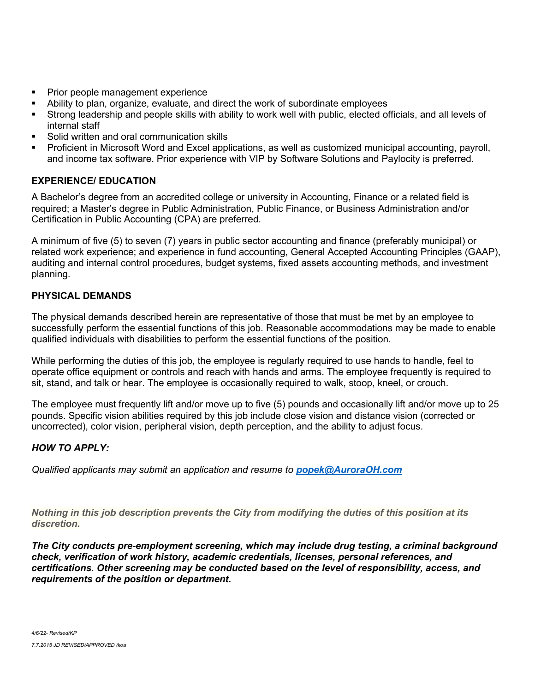- Prior people management experience
- Ability to plan, organize, evaluate, and direct the work of subordinate employees
- Strong leadership and people skills with ability to work well with public, elected officials, and all levels of internal staff
- Solid written and oral communication skills
- Proficient in Microsoft Word and Excel applications, as well as customized municipal accounting, payroll, and income tax software. Prior experience with VIP by Software Solutions and Paylocity is preferred.

# **EXPERIENCE/ EDUCATION**

A Bachelor's degree from an accredited college or university in Accounting, Finance or a related field is required; a Master's degree in Public Administration, Public Finance, or Business Administration and/or Certification in Public Accounting (CPA) are preferred.

A minimum of five (5) to seven (7) years in public sector accounting and finance (preferably municipal) or related work experience; and experience in fund accounting, General Accepted Accounting Principles (GAAP), auditing and internal control procedures, budget systems, fixed assets accounting methods, and investment planning.

# **PHYSICAL DEMANDS**

The physical demands described herein are representative of those that must be met by an employee to successfully perform the essential functions of this job. Reasonable accommodations may be made to enable qualified individuals with disabilities to perform the essential functions of the position.

While performing the duties of this job, the employee is regularly required to use hands to handle, feel to operate office equipment or controls and reach with hands and arms. The employee frequently is required to sit, stand, and talk or hear. The employee is occasionally required to walk, stoop, kneel, or crouch.

The employee must frequently lift and/or move up to five (5) pounds and occasionally lift and/or move up to 25 pounds. Specific vision abilities required by this job include close vision and distance vision (corrected or uncorrected), color vision, peripheral vision, depth perception, and the ability to adjust focus.

## *HOW TO APPLY:*

*Qualified applicants may submit an application and resume to [popek@AuroraOH.com](mailto:popek@AuroraOH.com)*

*Nothing in this job description prevents the City from modifying the duties of this position at its discretion.*

*The City conducts pre-employment screening, which may include drug testing, a criminal background check, verification of work history, academic credentials, licenses, personal references, and certifications. Other screening may be conducted based on the level of responsibility, access, and requirements of the position or department.*